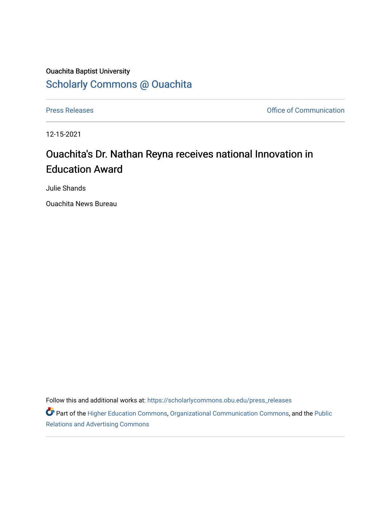## Ouachita Baptist University [Scholarly Commons @ Ouachita](https://scholarlycommons.obu.edu/)

[Press Releases](https://scholarlycommons.obu.edu/press_releases) **Press Releases Communication** 

12-15-2021

## Ouachita's Dr. Nathan Reyna receives national Innovation in Education Award

Julie Shands

Ouachita News Bureau

Follow this and additional works at: [https://scholarlycommons.obu.edu/press\\_releases](https://scholarlycommons.obu.edu/press_releases?utm_source=scholarlycommons.obu.edu%2Fpress_releases%2F1045&utm_medium=PDF&utm_campaign=PDFCoverPages)

Part of the [Higher Education Commons,](http://network.bepress.com/hgg/discipline/1245?utm_source=scholarlycommons.obu.edu%2Fpress_releases%2F1045&utm_medium=PDF&utm_campaign=PDFCoverPages) [Organizational Communication Commons,](http://network.bepress.com/hgg/discipline/335?utm_source=scholarlycommons.obu.edu%2Fpress_releases%2F1045&utm_medium=PDF&utm_campaign=PDFCoverPages) and the [Public](http://network.bepress.com/hgg/discipline/336?utm_source=scholarlycommons.obu.edu%2Fpress_releases%2F1045&utm_medium=PDF&utm_campaign=PDFCoverPages) [Relations and Advertising Commons](http://network.bepress.com/hgg/discipline/336?utm_source=scholarlycommons.obu.edu%2Fpress_releases%2F1045&utm_medium=PDF&utm_campaign=PDFCoverPages)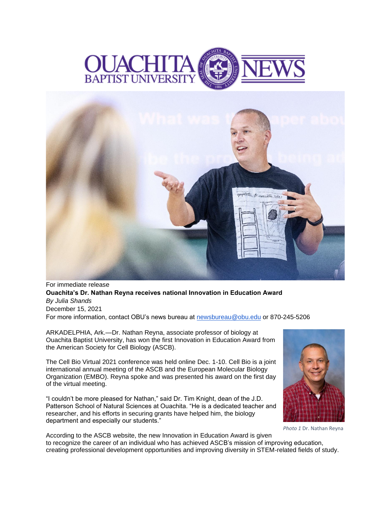



For immediate release **Ouachita's Dr. Nathan Reyna receives national Innovation in Education Award** *By Julia Shands* December 15, 2021 For more information, contact OBU's news bureau at [newsbureau@obu.edu](mailto:newsbureau@obu.edu) or 870-245-5206

ARKADELPHIA, Ark.—Dr. Nathan Reyna, associate professor of biology at Ouachita Baptist University, has won the first Innovation in Education Award from the American Society for Cell Biology (ASCB).

The Cell Bio Virtual 2021 conference was held online Dec. 1-10. Cell Bio is a joint international annual meeting of the ASCB and the European Molecular Biology Organization (EMBO). Reyna spoke and was presented his award on the first day of the virtual meeting.

"I couldn't be more pleased for Nathan," said Dr. Tim Knight, dean of the J.D. Patterson School of Natural Sciences at Ouachita. "He is a dedicated teacher and researcher, and his efforts in securing grants have helped him, the biology department and especially our students."



*Photo 1* Dr. Nathan Reyna

According to the ASCB website, the new Innovation in Education Award is given to recognize the career of an individual who has achieved ASCB's mission of improving education, creating professional development opportunities and improving diversity in STEM-related fields of study.